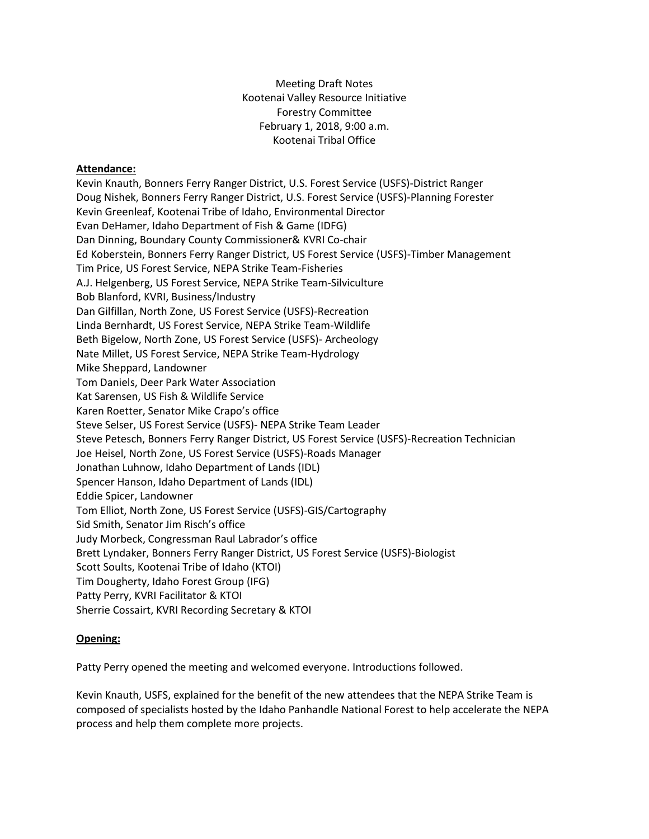Meeting Draft Notes Kootenai Valley Resource Initiative Forestry Committee February 1, 2018, 9:00 a.m. Kootenai Tribal Office

### **Attendance:**

Kevin Knauth, Bonners Ferry Ranger District, U.S. Forest Service (USFS)-District Ranger Doug Nishek, Bonners Ferry Ranger District, U.S. Forest Service (USFS)-Planning Forester Kevin Greenleaf, Kootenai Tribe of Idaho, Environmental Director Evan DeHamer, Idaho Department of Fish & Game (IDFG) Dan Dinning, Boundary County Commissioner& KVRI Co-chair Ed Koberstein, Bonners Ferry Ranger District, US Forest Service (USFS)-Timber Management Tim Price, US Forest Service, NEPA Strike Team-Fisheries A.J. Helgenberg, US Forest Service, NEPA Strike Team-Silviculture Bob Blanford, KVRI, Business/Industry Dan Gilfillan, North Zone, US Forest Service (USFS)-Recreation Linda Bernhardt, US Forest Service, NEPA Strike Team-Wildlife Beth Bigelow, North Zone, US Forest Service (USFS)- Archeology Nate Millet, US Forest Service, NEPA Strike Team-Hydrology Mike Sheppard, Landowner Tom Daniels, Deer Park Water Association Kat Sarensen, US Fish & Wildlife Service Karen Roetter, Senator Mike Crapo's office Steve Selser, US Forest Service (USFS)- NEPA Strike Team Leader Steve Petesch, Bonners Ferry Ranger District, US Forest Service (USFS)-Recreation Technician Joe Heisel, North Zone, US Forest Service (USFS)-Roads Manager Jonathan Luhnow, Idaho Department of Lands (IDL) Spencer Hanson, Idaho Department of Lands (IDL) Eddie Spicer, Landowner Tom Elliot, North Zone, US Forest Service (USFS)-GIS/Cartography Sid Smith, Senator Jim Risch's office Judy Morbeck, Congressman Raul Labrador's office Brett Lyndaker, Bonners Ferry Ranger District, US Forest Service (USFS)-Biologist Scott Soults, Kootenai Tribe of Idaho (KTOI) Tim Dougherty, Idaho Forest Group (IFG) Patty Perry, KVRI Facilitator & KTOI Sherrie Cossairt, KVRI Recording Secretary & KTOI

## **Opening:**

Patty Perry opened the meeting and welcomed everyone. Introductions followed.

Kevin Knauth, USFS, explained for the benefit of the new attendees that the NEPA Strike Team is composed of specialists hosted by the Idaho Panhandle National Forest to help accelerate the NEPA process and help them complete more projects.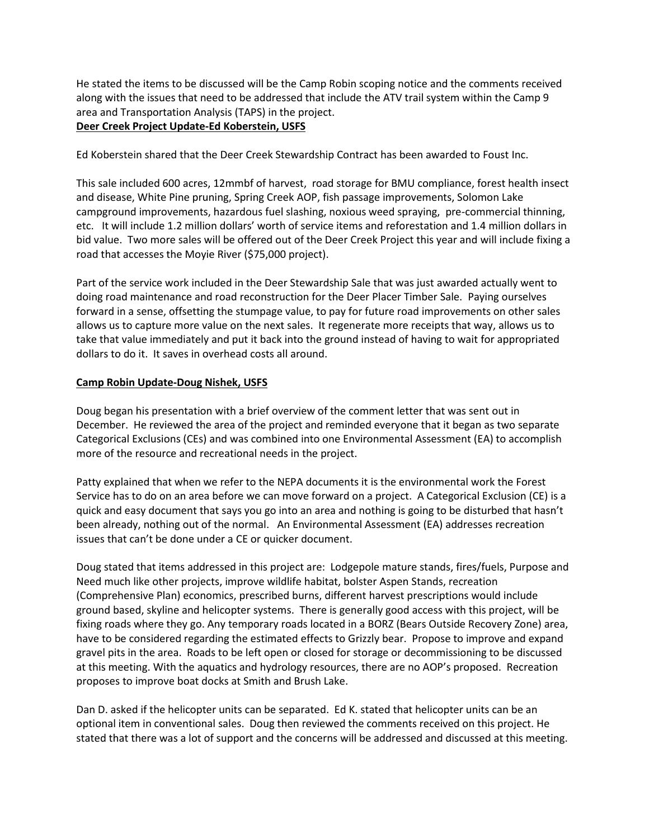He stated the items to be discussed will be the Camp Robin scoping notice and the comments received along with the issues that need to be addressed that include the ATV trail system within the Camp 9 area and Transportation Analysis (TAPS) in the project.

# **Deer Creek Project Update-Ed Koberstein, USFS**

Ed Koberstein shared that the Deer Creek Stewardship Contract has been awarded to Foust Inc.

This sale included 600 acres, 12mmbf of harvest, road storage for BMU compliance, forest health insect and disease, White Pine pruning, Spring Creek AOP, fish passage improvements, Solomon Lake campground improvements, hazardous fuel slashing, noxious weed spraying, pre-commercial thinning, etc. It will include 1.2 million dollars' worth of service items and reforestation and 1.4 million dollars in bid value. Two more sales will be offered out of the Deer Creek Project this year and will include fixing a road that accesses the Moyie River (\$75,000 project).

Part of the service work included in the Deer Stewardship Sale that was just awarded actually went to doing road maintenance and road reconstruction for the Deer Placer Timber Sale. Paying ourselves forward in a sense, offsetting the stumpage value, to pay for future road improvements on other sales allows us to capture more value on the next sales. It regenerate more receipts that way, allows us to take that value immediately and put it back into the ground instead of having to wait for appropriated dollars to do it. It saves in overhead costs all around.

# **Camp Robin Update-Doug Nishek, USFS**

Doug began his presentation with a brief overview of the comment letter that was sent out in December. He reviewed the area of the project and reminded everyone that it began as two separate Categorical Exclusions (CEs) and was combined into one Environmental Assessment (EA) to accomplish more of the resource and recreational needs in the project.

Patty explained that when we refer to the NEPA documents it is the environmental work the Forest Service has to do on an area before we can move forward on a project. A Categorical Exclusion (CE) is a quick and easy document that says you go into an area and nothing is going to be disturbed that hasn't been already, nothing out of the normal. An Environmental Assessment (EA) addresses recreation issues that can't be done under a CE or quicker document.

Doug stated that items addressed in this project are: Lodgepole mature stands, fires/fuels, Purpose and Need much like other projects, improve wildlife habitat, bolster Aspen Stands, recreation (Comprehensive Plan) economics, prescribed burns, different harvest prescriptions would include ground based, skyline and helicopter systems. There is generally good access with this project, will be fixing roads where they go. Any temporary roads located in a BORZ (Bears Outside Recovery Zone) area, have to be considered regarding the estimated effects to Grizzly bear. Propose to improve and expand gravel pits in the area. Roads to be left open or closed for storage or decommissioning to be discussed at this meeting. With the aquatics and hydrology resources, there are no AOP's proposed. Recreation proposes to improve boat docks at Smith and Brush Lake.

Dan D. asked if the helicopter units can be separated. Ed K. stated that helicopter units can be an optional item in conventional sales. Doug then reviewed the comments received on this project. He stated that there was a lot of support and the concerns will be addressed and discussed at this meeting.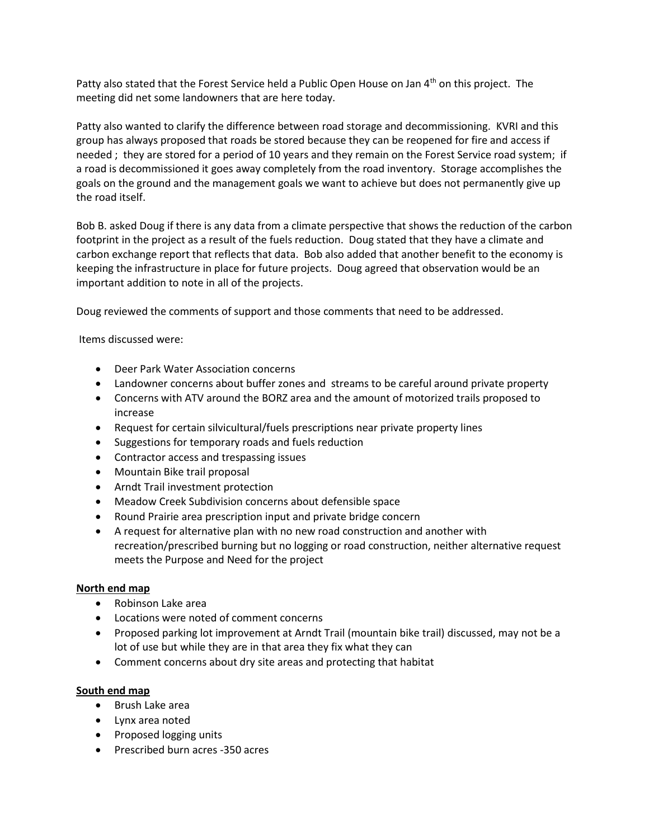Patty also stated that the Forest Service held a Public Open House on Jan  $4<sup>th</sup>$  on this project. The meeting did net some landowners that are here today.

Patty also wanted to clarify the difference between road storage and decommissioning. KVRI and this group has always proposed that roads be stored because they can be reopened for fire and access if needed ; they are stored for a period of 10 years and they remain on the Forest Service road system; if a road is decommissioned it goes away completely from the road inventory. Storage accomplishes the goals on the ground and the management goals we want to achieve but does not permanently give up the road itself.

Bob B. asked Doug if there is any data from a climate perspective that shows the reduction of the carbon footprint in the project as a result of the fuels reduction. Doug stated that they have a climate and carbon exchange report that reflects that data. Bob also added that another benefit to the economy is keeping the infrastructure in place for future projects. Doug agreed that observation would be an important addition to note in all of the projects.

Doug reviewed the comments of support and those comments that need to be addressed.

Items discussed were:

- Deer Park Water Association concerns
- Landowner concerns about buffer zones and streams to be careful around private property
- Concerns with ATV around the BORZ area and the amount of motorized trails proposed to increase
- Request for certain silvicultural/fuels prescriptions near private property lines
- Suggestions for temporary roads and fuels reduction
- Contractor access and trespassing issues
- Mountain Bike trail proposal
- Arndt Trail investment protection
- Meadow Creek Subdivision concerns about defensible space
- Round Prairie area prescription input and private bridge concern
- A request for alternative plan with no new road construction and another with recreation/prescribed burning but no logging or road construction, neither alternative request meets the Purpose and Need for the project

## **North end map**

- Robinson Lake area
- Locations were noted of comment concerns
- Proposed parking lot improvement at Arndt Trail (mountain bike trail) discussed, may not be a lot of use but while they are in that area they fix what they can
- Comment concerns about dry site areas and protecting that habitat

## **South end map**

- Brush Lake area
- Lynx area noted
- Proposed logging units
- Prescribed burn acres -350 acres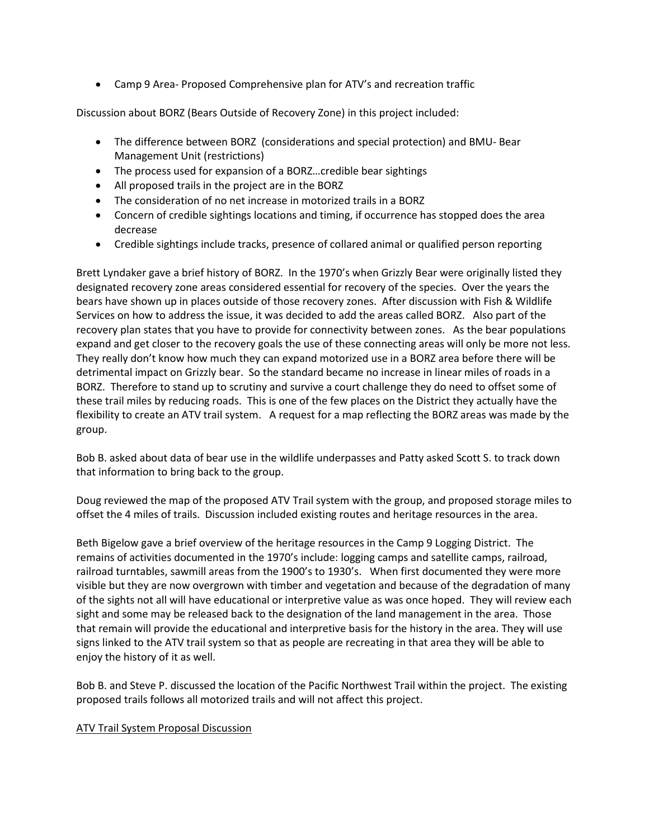• Camp 9 Area- Proposed Comprehensive plan for ATV's and recreation traffic

Discussion about BORZ (Bears Outside of Recovery Zone) in this project included:

- The difference between BORZ (considerations and special protection) and BMU- Bear Management Unit (restrictions)
- The process used for expansion of a BORZ…credible bear sightings
- All proposed trails in the project are in the BORZ
- The consideration of no net increase in motorized trails in a BORZ
- Concern of credible sightings locations and timing, if occurrence has stopped does the area decrease
- Credible sightings include tracks, presence of collared animal or qualified person reporting

Brett Lyndaker gave a brief history of BORZ. In the 1970's when Grizzly Bear were originally listed they designated recovery zone areas considered essential for recovery of the species. Over the years the bears have shown up in places outside of those recovery zones. After discussion with Fish & Wildlife Services on how to address the issue, it was decided to add the areas called BORZ. Also part of the recovery plan states that you have to provide for connectivity between zones. As the bear populations expand and get closer to the recovery goals the use of these connecting areas will only be more not less. They really don't know how much they can expand motorized use in a BORZ area before there will be detrimental impact on Grizzly bear. So the standard became no increase in linear miles of roads in a BORZ. Therefore to stand up to scrutiny and survive a court challenge they do need to offset some of these trail miles by reducing roads. This is one of the few places on the District they actually have the flexibility to create an ATV trail system. A request for a map reflecting the BORZ areas was made by the group.

Bob B. asked about data of bear use in the wildlife underpasses and Patty asked Scott S. to track down that information to bring back to the group.

Doug reviewed the map of the proposed ATV Trail system with the group, and proposed storage miles to offset the 4 miles of trails. Discussion included existing routes and heritage resources in the area.

Beth Bigelow gave a brief overview of the heritage resources in the Camp 9 Logging District. The remains of activities documented in the 1970's include: logging camps and satellite camps, railroad, railroad turntables, sawmill areas from the 1900's to 1930's. When first documented they were more visible but they are now overgrown with timber and vegetation and because of the degradation of many of the sights not all will have educational or interpretive value as was once hoped. They will review each sight and some may be released back to the designation of the land management in the area. Those that remain will provide the educational and interpretive basis for the history in the area. They will use signs linked to the ATV trail system so that as people are recreating in that area they will be able to enjoy the history of it as well.

Bob B. and Steve P. discussed the location of the Pacific Northwest Trail within the project. The existing proposed trails follows all motorized trails and will not affect this project.

## ATV Trail System Proposal Discussion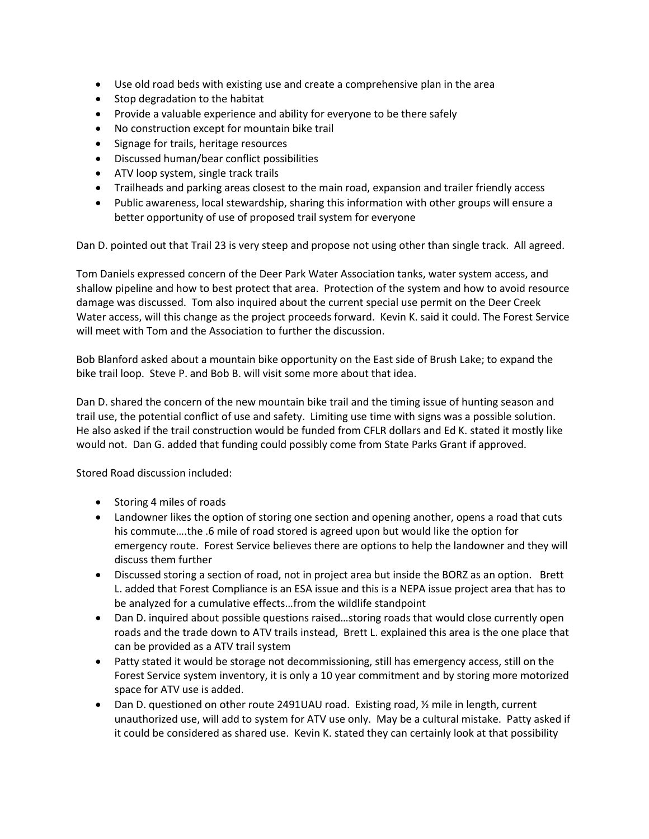- Use old road beds with existing use and create a comprehensive plan in the area
- Stop degradation to the habitat
- Provide a valuable experience and ability for everyone to be there safely
- No construction except for mountain bike trail
- Signage for trails, heritage resources
- Discussed human/bear conflict possibilities
- ATV loop system, single track trails
- Trailheads and parking areas closest to the main road, expansion and trailer friendly access
- Public awareness, local stewardship, sharing this information with other groups will ensure a better opportunity of use of proposed trail system for everyone

Dan D. pointed out that Trail 23 is very steep and propose not using other than single track. All agreed.

Tom Daniels expressed concern of the Deer Park Water Association tanks, water system access, and shallow pipeline and how to best protect that area. Protection of the system and how to avoid resource damage was discussed. Tom also inquired about the current special use permit on the Deer Creek Water access, will this change as the project proceeds forward. Kevin K. said it could. The Forest Service will meet with Tom and the Association to further the discussion.

Bob Blanford asked about a mountain bike opportunity on the East side of Brush Lake; to expand the bike trail loop. Steve P. and Bob B. will visit some more about that idea.

Dan D. shared the concern of the new mountain bike trail and the timing issue of hunting season and trail use, the potential conflict of use and safety. Limiting use time with signs was a possible solution. He also asked if the trail construction would be funded from CFLR dollars and Ed K. stated it mostly like would not. Dan G. added that funding could possibly come from State Parks Grant if approved.

Stored Road discussion included:

- Storing 4 miles of roads
- Landowner likes the option of storing one section and opening another, opens a road that cuts his commute….the .6 mile of road stored is agreed upon but would like the option for emergency route. Forest Service believes there are options to help the landowner and they will discuss them further
- Discussed storing a section of road, not in project area but inside the BORZ as an option. Brett L. added that Forest Compliance is an ESA issue and this is a NEPA issue project area that has to be analyzed for a cumulative effects…from the wildlife standpoint
- Dan D. inquired about possible questions raised...storing roads that would close currently open roads and the trade down to ATV trails instead, Brett L. explained this area is the one place that can be provided as a ATV trail system
- Patty stated it would be storage not decommissioning, still has emergency access, still on the Forest Service system inventory, it is only a 10 year commitment and by storing more motorized space for ATV use is added.
- Dan D. questioned on other route 2491UAU road. Existing road, 1/2 mile in length, current unauthorized use, will add to system for ATV use only. May be a cultural mistake. Patty asked if it could be considered as shared use. Kevin K. stated they can certainly look at that possibility